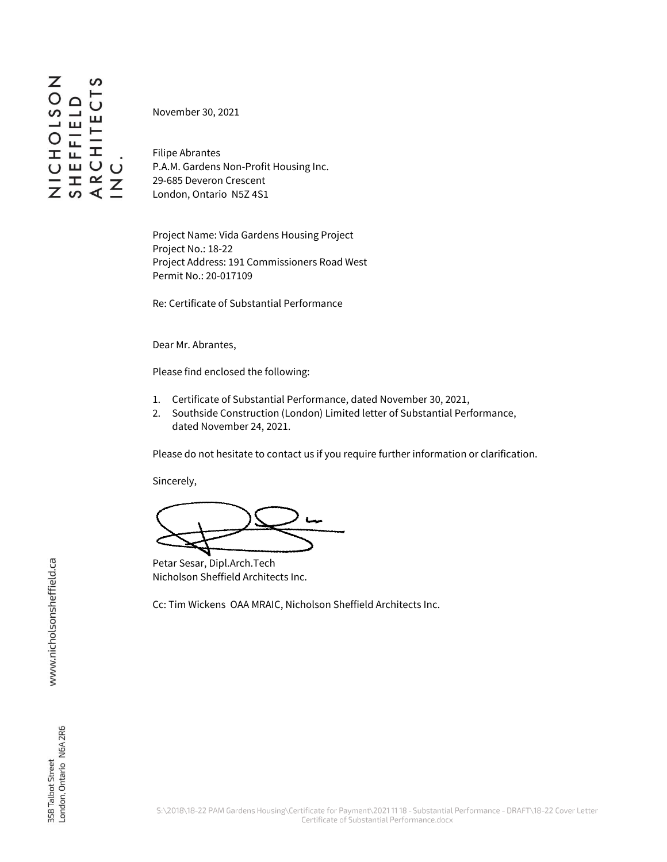November 30, 2021

Filipe Abrantes P.A.M. Gardens Non-Profit Housing Inc. 29-685 Deveron Crescent London, Ontario N5Z 4S1

Project Name: Vida Gardens Housing Project Project No.: 18-22 Project Address: 191 Commissioners Road West Permit No.: 20-017109

Re: Certificate of Substantial Performance

Dear Mr. Abrantes,

Please find enclosed the following:

- 1. Certificate of Substantial Performance, dated November 30, 2021,
- 2. Southside Construction (London) Limited letter of Substantial Performance, dated November 24, 2021.

Please do not hesitate to contact us if you require further information or clarification.

Sincerely,

Petar Sesar, Dipl.Arch.Tech Nicholson Sheffield Architects Inc.

Cc: Tim Wickens OAA MRAIC, Nicholson Sheffield Architects Inc.

www.nicholsonsheffield.ca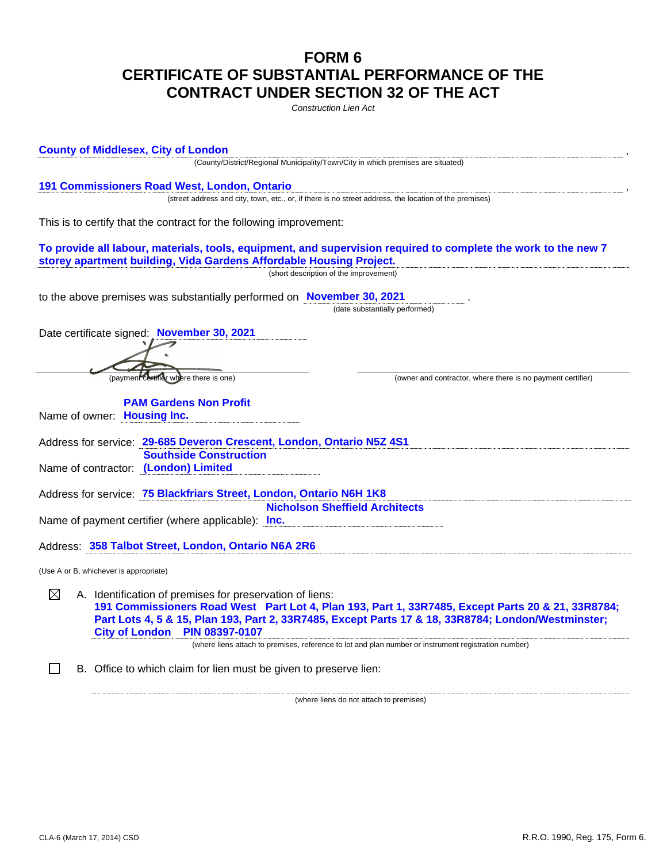## **FORM 6 CERTIFICATE OF SUBSTANTIAL PERFORMANCE OF THE CONTRACT UNDER SECTION 32 OF THE ACT**

*Construction Lien Act*

**County of Middlesex, City of London** , (County/District/Regional Municipality/Town/City in which premises are situated) **191 Commissioners Road West, London, Ontario** , (street address and city, town, etc., or, if there is no street address, the location of the premises) This is to certify that the contract for the following improvement: **To provide all labour, materials, tools, equipment, and supervision required to complete the work to the new 7 storey apartment building, Vida Gardens Affordable Housing Project.** (short description of the improvement) to the above premises was substantially performed on **November 30, 2021** . (date substantially performed) Date certificate signed: **November 30, 2021** (payment certifier where there is one) (owner and contractor, where there is no payment certifier) **PAM Gardens Non Profit**  Name of owner: **Housing Inc.** Address for service: **29-685 Deveron Crescent, London, Ontario N5Z 4S1 Southside Construction**  Name of contractor: **(London) Limited** Address for service: **75 Blackfriars Street, London, Ontario N6H 1K8 Nicholson Sheffield Architects**  Name of payment certifier (where applicable): **Inc.** Address: **358 Talbot Street, London, Ontario N6A 2R6** (Use A or B, whichever is appropriate) ⊠ A. Identification of premises for preservation of liens: **191 Commissioners Road West Part Lot 4, Plan 193, Part 1, 33R7485, Except Parts 20 & 21, 33R8784; Part Lots 4, 5 & 15, Plan 193, Part 2, 33R7485, Except Parts 17 & 18, 33R8784; London/Westminster; City of London PIN 08397-0107** (where liens attach to premises, reference to lot and plan number or instrument registration number) B. Office to which claim for lien must be given to preserve lien:

(where liens do not attach to premises)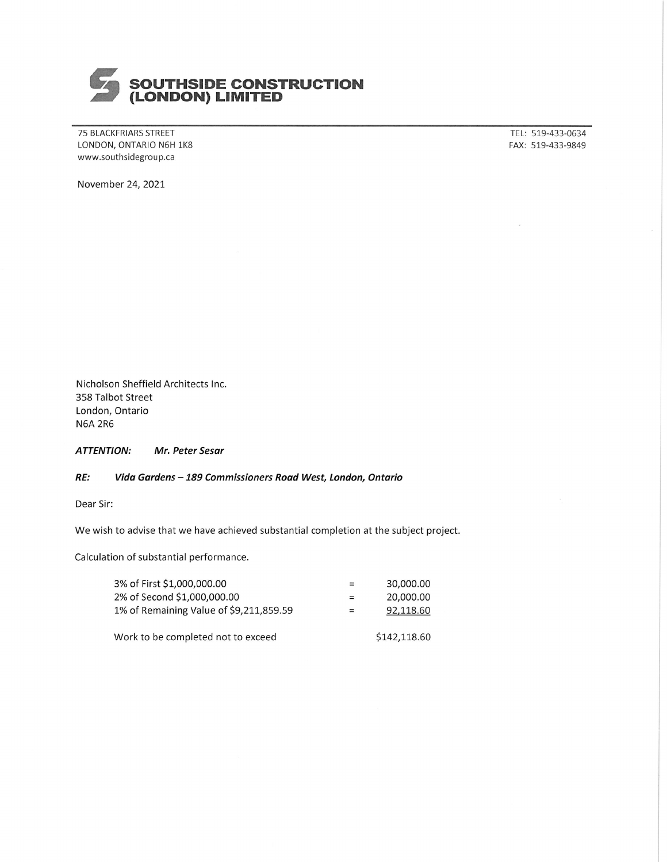

75 BLACKFRIARS STREET LONDON, ONTARIO N6H 1K8 www.southsidegroup.ca

TEL: 519-433-0634 FAX: 519-433-9849

November 24, 2021

Nicholson Sheffield Architects Inc. 358 Talbot Street London, Ontario **N6A 2R6** 

**ATTENTION:** Mr. Peter Sesar

## RE: Vida Gardens - 189 Commissioners Road West, London, Ontario

Dear Sir:

We wish to advise that we have achieved substantial completion at the subject project.

Calculation of substantial performance.

| 3% of First \$1,000,000.00              | $=$ | 30,000.00    |
|-----------------------------------------|-----|--------------|
| 2% of Second \$1,000,000.00             | $=$ | 20,000.00    |
| 1% of Remaining Value of \$9,211,859.59 | $=$ | 92,118.60    |
| Work to be completed not to exceed      |     | \$142,118.60 |